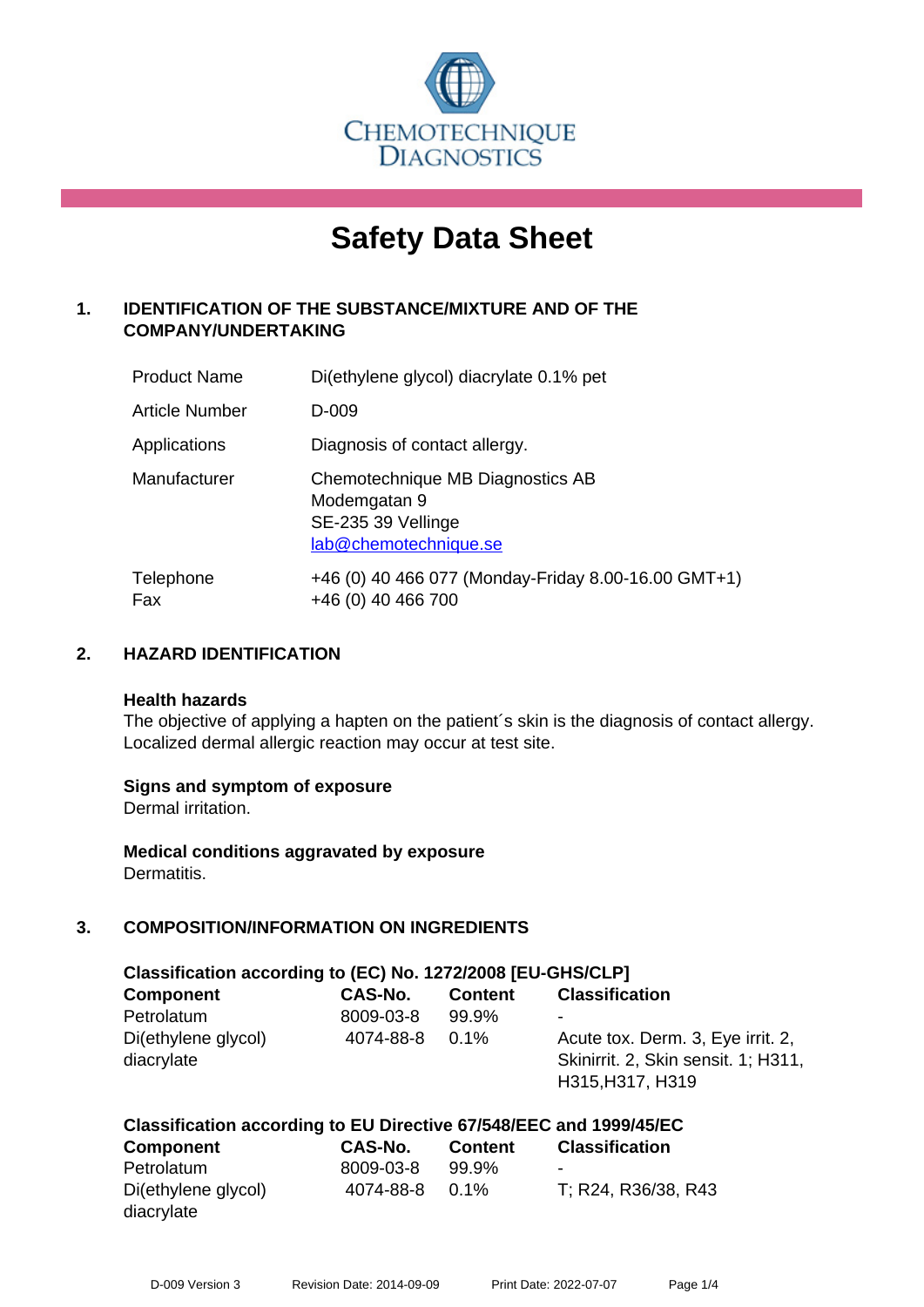

# **Safety Data Sheet**

# **1. IDENTIFICATION OF THE SUBSTANCE/MIXTURE AND OF THE COMPANY/UNDERTAKING**

| <b>Product Name</b>   | Di(ethylene glycol) diacrylate 0.1% pet                                                         |
|-----------------------|-------------------------------------------------------------------------------------------------|
| <b>Article Number</b> | D-009                                                                                           |
| Applications          | Diagnosis of contact allergy.                                                                   |
| Manufacturer          | Chemotechnique MB Diagnostics AB<br>Modemgatan 9<br>SE-235 39 Vellinge<br>lab@chemotechnique.se |
| Telephone<br>Fax      | +46 (0) 40 466 077 (Monday-Friday 8.00-16.00 GMT+1)<br>+46 (0) 40 466 700                       |

# **2. HAZARD IDENTIFICATION**

#### **Health hazards**

The objective of applying a hapten on the patient's skin is the diagnosis of contact allergy. Localized dermal allergic reaction may occur at test site.

#### **Signs and symptom of exposure**

Dermal irritation.

**Medical conditions aggravated by exposure** Dermatitis.

# **3. COMPOSITION/INFORMATION ON INGREDIENTS**

| Classification according to (EC) No. 1272/2008 [EU-GHS/CLP] |           |                |                                                                                              |  |  |
|-------------------------------------------------------------|-----------|----------------|----------------------------------------------------------------------------------------------|--|--|
| <b>Component</b>                                            | CAS-No.   | <b>Content</b> | <b>Classification</b>                                                                        |  |  |
| Petrolatum                                                  | 8009-03-8 | 99.9%          |                                                                                              |  |  |
| Di(ethylene glycol)<br>diacrylate                           | 4074-88-8 | $0.1\%$        | Acute tox. Derm. 3, Eye irrit. 2,<br>Skinirrit. 2, Skin sensit. 1; H311,<br>H315, H317, H319 |  |  |

#### **Classification according to EU Directive 67/548/EEC and 1999/45/EC**

| <b>Component</b>    | CAS-No.   | <b>Content</b> | <b>Classification</b> |
|---------------------|-----------|----------------|-----------------------|
| Petrolatum          | 8009-03-8 | 99.9%          | ٠                     |
| Di(ethylene glycol) | 4074-88-8 | $0.1\%$        | T; R24, R36/38, R43   |
| diacrylate          |           |                |                       |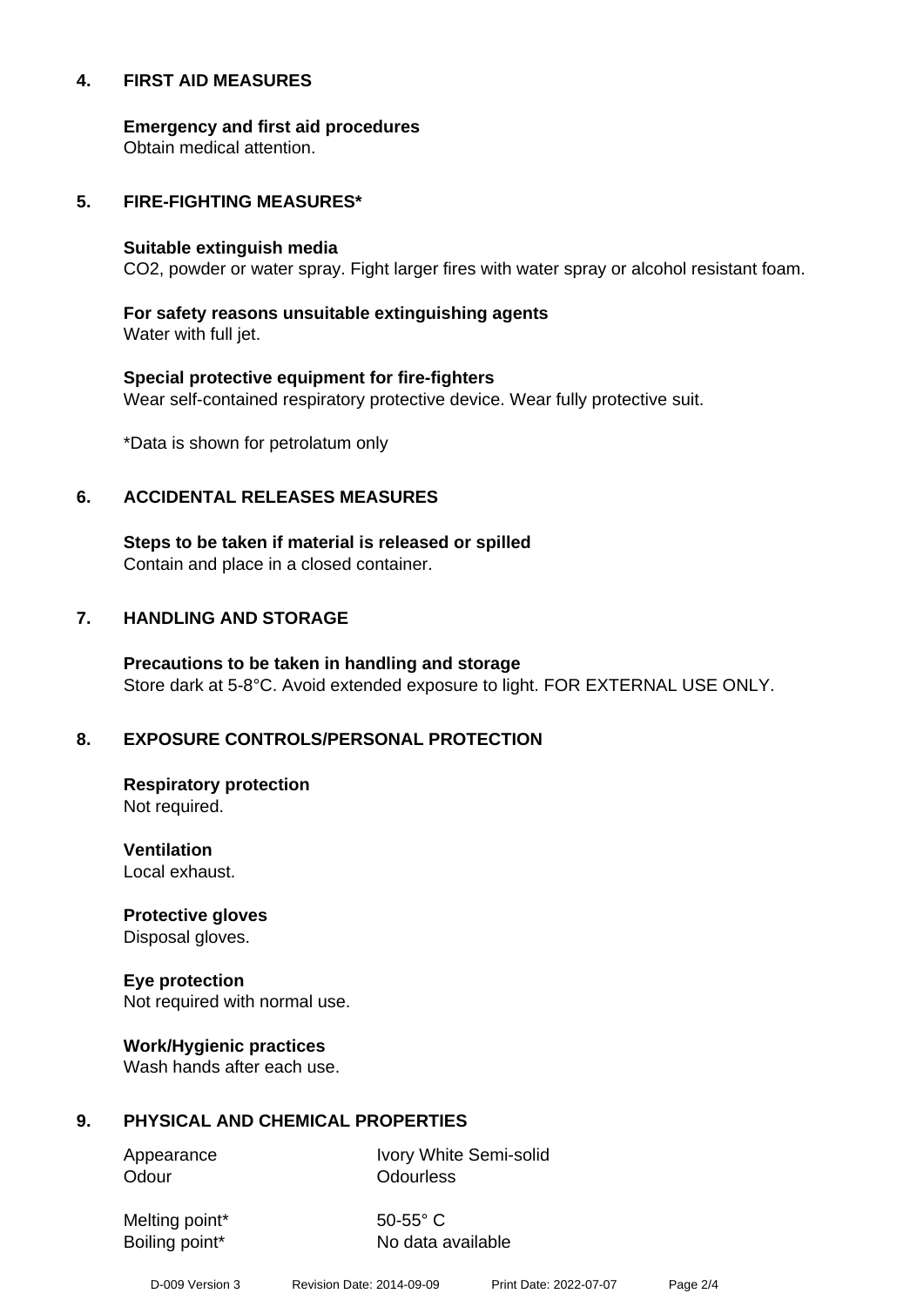#### **4. FIRST AID MEASURES**

**Emergency and first aid procedures**

Obtain medical attention.

#### **5. FIRE-FIGHTING MEASURES\***

#### **Suitable extinguish media**

CO2, powder or water spray. Fight larger fires with water spray or alcohol resistant foam.

# **For safety reasons unsuitable extinguishing agents**

Water with full jet.

# **Special protective equipment for fire-fighters** Wear self-contained respiratory protective device. Wear fully protective suit.

\*Data is shown for petrolatum only

# **6. ACCIDENTAL RELEASES MEASURES**

**Steps to be taken if material is released or spilled** Contain and place in a closed container.

# **7. HANDLING AND STORAGE**

**Precautions to be taken in handling and storage** Store dark at 5-8°C. Avoid extended exposure to light. FOR EXTERNAL USE ONLY.

# **8. EXPOSURE CONTROLS/PERSONAL PROTECTION**

**Respiratory protection** Not required.

**Ventilation** Local exhaust.

**Protective gloves** Disposal gloves.

# **Eye protection**

Not required with normal use.

#### **Work/Hygienic practices**

Wash hands after each use.

#### **9. PHYSICAL AND CHEMICAL PROPERTIES**

Odour **Odourless** 

Appearance Ivory White Semi-solid

Melting point\* 50-55° C

Boiling point\* No data available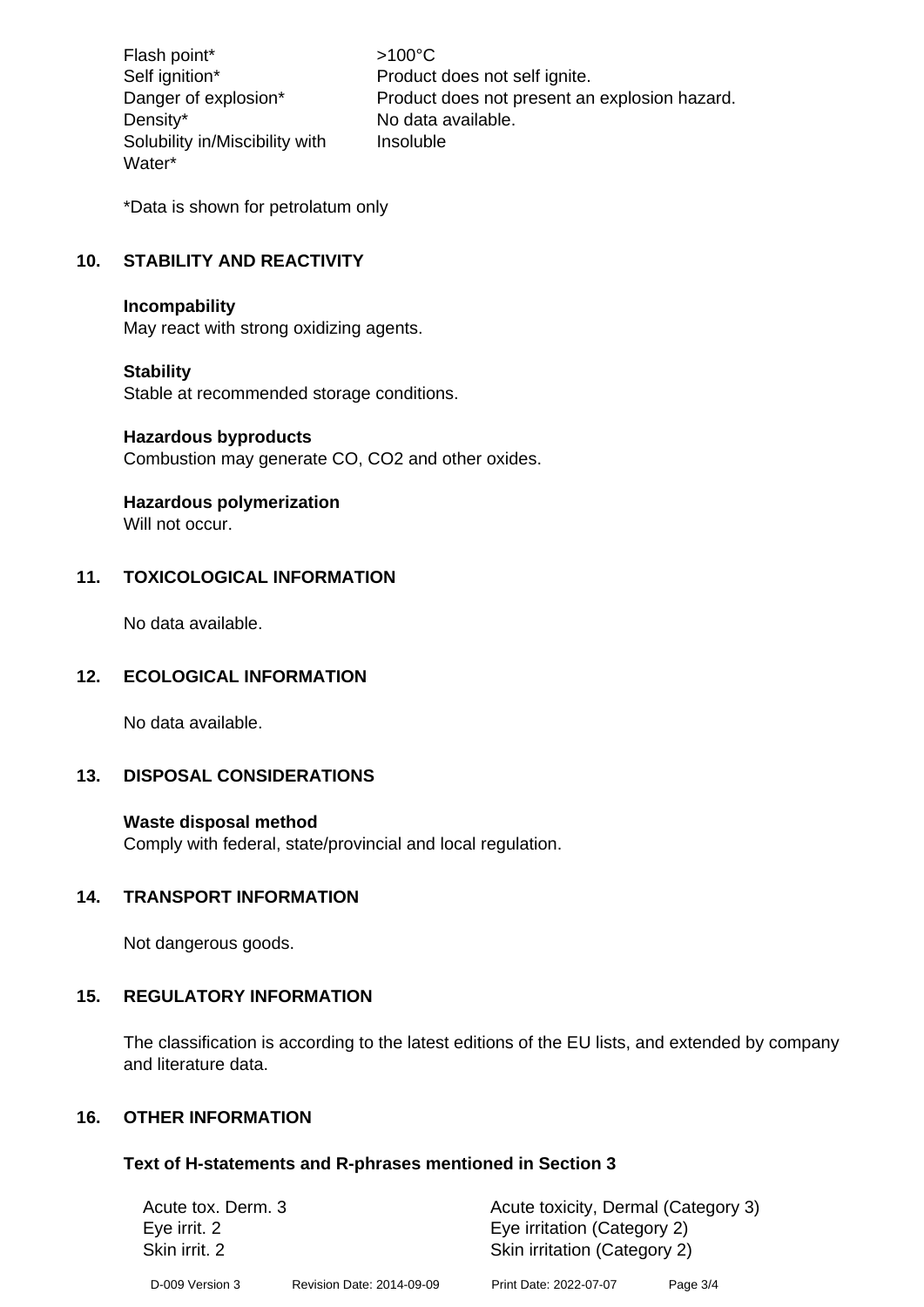Flash point\* >100°C Density\* No data available. Solubility in/Miscibility with Water\*

Self ignition\* Product does not self ignite. Danger of explosion\* Product does not present an explosion hazard. Insoluble

\*Data is shown for petrolatum only

# **10. STABILITY AND REACTIVITY**

#### **Incompability**

May react with strong oxidizing agents.

#### **Stability**

Stable at recommended storage conditions.

#### **Hazardous byproducts**

Combustion may generate CO, CO2 and other oxides.

#### **Hazardous polymerization**

Will not occur.

# **11. TOXICOLOGICAL INFORMATION**

No data available.

#### **12. ECOLOGICAL INFORMATION**

No data available.

# **13. DISPOSAL CONSIDERATIONS**

#### **Waste disposal method**

Comply with federal, state/provincial and local regulation.

#### **14. TRANSPORT INFORMATION**

Not dangerous goods.

#### **15. REGULATORY INFORMATION**

The classification is according to the latest editions of the EU lists, and extended by company and literature data.

#### **16. OTHER INFORMATION**

#### **Text of H-statements and R-phrases mentioned in Section 3**

| Acute tox. Derm. 3<br>Eye irrit. 2<br>Skin irrit. 2 |  | Acute toxicity, Dermal (Category 3)<br>Eye irritation (Category 2)<br>Skin irritation (Category 2) |  |  |                 |                           |                        |          |
|-----------------------------------------------------|--|----------------------------------------------------------------------------------------------------|--|--|-----------------|---------------------------|------------------------|----------|
|                                                     |  |                                                                                                    |  |  | D-009 Version 3 | Revision Date: 2014-09-09 | Print Date: 2022-07-07 | Page 3/4 |